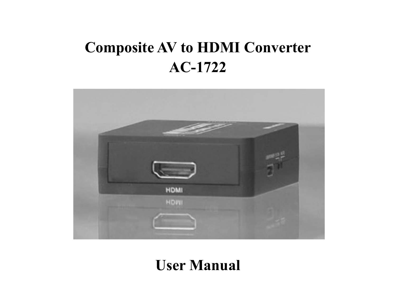# **Composite AV to HDMI Converter AC-1722**



## **User Manual**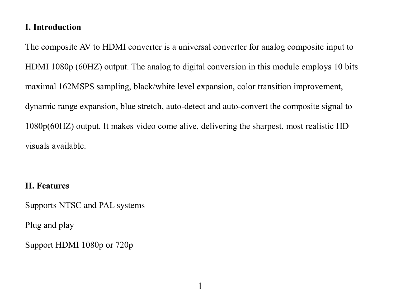#### **I. Introduction**

The composite AV to HDMI converter is a universal converter for analog composite input to HDMI 1080p (60HZ) output. The analog to digital conversion in this module employs 10 bits maximal 162MSPS sampling, black/white level expansion, color transition improvement, dynamic range expansion, blue stretch, auto-detect and auto-convert the composite signal to 1080p(60HZ) output. It makes video come alive, delivering the sharpest, most realistic HD visuals available.

#### **II. Features**

Supports NTSC and PAL systems

Plug and play

Support HDMI 1080p or 720p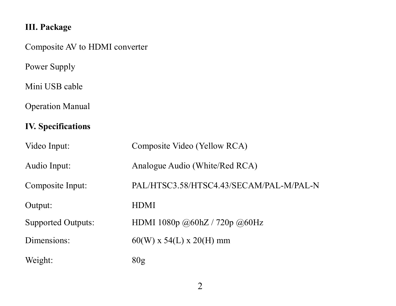## **III. Package**

Composite AV to HDMI converter

Power Supply

Mini USB cable

Operation Manual

## **IV. Specifications**

| Video Input:       | Composite Video (Yellow RCA)            |
|--------------------|-----------------------------------------|
| Audio Input:       | Analogue Audio (White/Red RCA)          |
| Composite Input:   | PAL/HTSC3.58/HTSC4.43/SECAM/PAL-M/PAL-N |
| Output:            | <b>HDMI</b>                             |
| Supported Outputs: | HDMI 1080p @60hZ / 720p @60Hz           |
| Dimensions:        | $60(W)$ x 54(L) x 20(H) mm              |
| Weight:            | 80g                                     |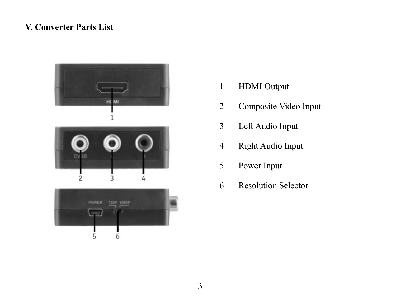#### **V. Converter Parts List**



- HDMI Output
- Composite Video Input
- Left Audio Input
- Right Audio Input
- Power Input
- Resolution Selector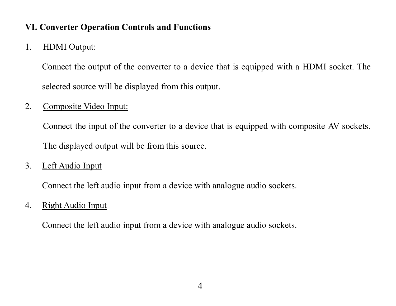#### **VI. Converter Operation Controls and Functions**

#### 1. HDMI Output:

Connect the output of the converter to a device that is equipped with a HDMI socket. The selected source will be displayed from this output.

#### 2. Composite Video Input:

Connect the input of the converter to a device that is equipped with composite AV sockets. The displayed output will be from this source.

3. Left Audio Input

Connect the left audio input from a device with analogue audio sockets.

#### 4. Right Audio Input

Connect the left audio input from a device with analogue audio sockets.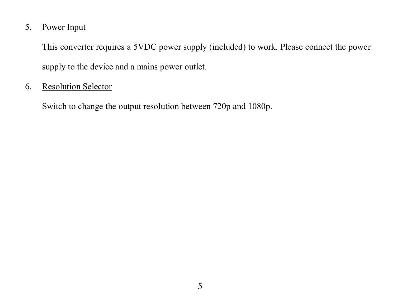#### 5. Power Input

This converter requires a 5VDC power supply (included) to work. Please connect the power supply to the device and a mains power outlet.

#### 6. Resolution Selector

Switch to change the output resolution between 720p and 1080p.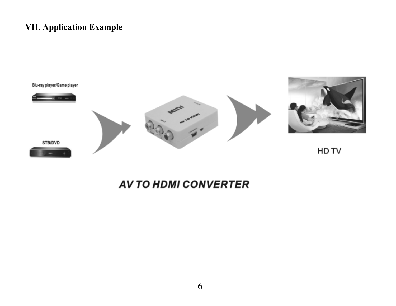## **VII. Application Example**



## **AV TO HDMI CONVERTER**